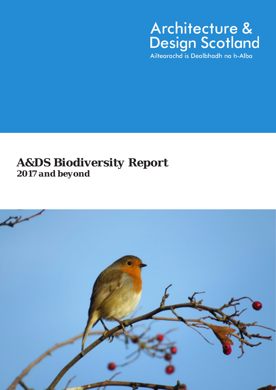*A&DS Biodiversity Report 2017 and beyond*

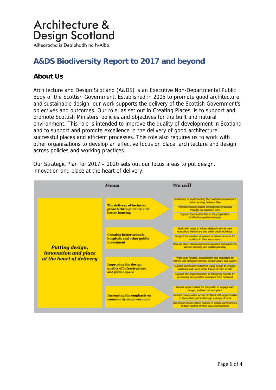Ailtearachd is Dealbhadh na h-Alba

### **A&DS Biodiversity Report to 2017 and beyond**

### **About Us**

Architecture and Design Scotland (A&DS) is an Executive Non-Departmental Public Body of the Scottish Government. Established in 2005 to promote good architecture and sustainable design, our work supports the delivery of the Scottish Government's objectives and outcomes. Our role, as set out in Creating Places, is to support and promote Scottish Ministers' policies and objectives for the built and natural environment. This role is intended to improve the quality of development in Scotland and to support and promote excellence in the delivery of good architecture, successful places and efficient processes. This role also requires us to work with other organisations to develop an effective focus on place, architecture and design across policies and working practices.

Our Strategic Plan for 2017 – 2020 sets out our focus areas to put design, innovation and place at the heart of delivery.

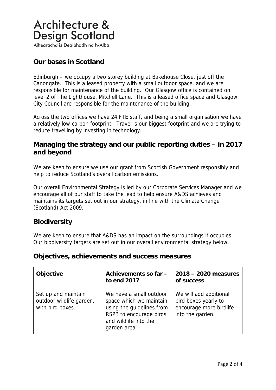Ailtearachd is Dealbhadh na h-Alba

#### **Our bases in Scotland**

Edinburgh – we occupy a two storey building at Bakehouse Close, just off the Canongate. This is a leased property with a small outdoor space, and we are responsible for maintenance of the building. Our Glasgow office is contained on level 2 of The Lighthouse, Mitchell Lane. This is a leased office space and Glasgow City Council are responsible for the maintenance of the building.

Across the two offices we have 24 FTE staff, and being a small organisation we have a relatively low carbon footprint. Travel is our biggest footprint and we are trying to reduce travelling by investing in technology.

#### **Managing the strategy and our public reporting duties – in 2017 and beyond**

We are keen to ensure we use our grant from Scottish Government responsibly and help to reduce Scotland's overall carbon emissions.

Our overall Environmental Strategy is led by our Corporate Services Manager and we encourage all of our staff to take the lead to help ensure A&DS achieves and maintains its targets set out in our strategy, in line with the Climate Change (Scotland) Act 2009.

#### **Biodiversity**

We are keen to ensure that A&DS has an impact on the surroundings it occupies. Our biodiversity targets are set out in our overall environmental strategy below.

| Objective                                                           | Achievements so far -<br>to end 2017                                                                                                                 | 2018 - 2020 measures<br>of success                                                            |
|---------------------------------------------------------------------|------------------------------------------------------------------------------------------------------------------------------------------------------|-----------------------------------------------------------------------------------------------|
| Set up and maintain<br>outdoor wildlife garden,<br>with bird boxes. | We have a small outdoor<br>space which we maintain,<br>using the guidelines from<br>RSPB to encourage birds<br>and wildlife into the<br>garden area. | We will add additional<br>bird boxes yearly to<br>encourage more birdlife<br>into the garden. |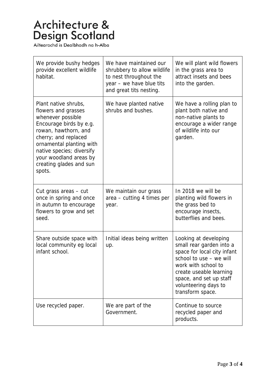| We provide bushy hedges<br>provide excellent wildlife<br>habitat.                                                                                                                                                                                                   | We have maintained our<br>shrubbery to allow wildlife<br>to nest throughout the<br>year - we have blue tits<br>and great tits nesting. | We will plant wild flowers<br>in the grass area to<br>attract insets and bees<br>into the garden.                                                                                                                                    |
|---------------------------------------------------------------------------------------------------------------------------------------------------------------------------------------------------------------------------------------------------------------------|----------------------------------------------------------------------------------------------------------------------------------------|--------------------------------------------------------------------------------------------------------------------------------------------------------------------------------------------------------------------------------------|
| Plant native shrubs,<br>flowers and grasses<br>whenever possible<br>Encourage birds by e.g.<br>rowan, hawthorn, and<br>cherry; and replaced<br>ornamental planting with<br>native species; diversify<br>your woodland areas by<br>creating glades and sun<br>spots. | We have planted native<br>shrubs and bushes.                                                                                           | We have a rolling plan to<br>plant both native and<br>non-native plants to<br>encourage a wider range<br>of wildlife into our<br>garden.                                                                                             |
| Cut grass areas – cut<br>once in spring and once<br>in autumn to encourage<br>flowers to grow and set<br>seed.                                                                                                                                                      | We maintain our grass<br>area - cutting 4 times per<br>year.                                                                           | In 2018 we will be<br>planting wild flowers in<br>the grass bed to<br>encourage insects,<br>butterflies and bees.                                                                                                                    |
| Share outside space with<br>local community eg local<br>infant school.                                                                                                                                                                                              | Initial ideas being written<br>up.                                                                                                     | Looking at developing<br>small rear garden into a<br>space for local city infant<br>school to use - we will<br>work with school to<br>create useable learning<br>space, and set up staff<br>volunteering days to<br>transform space. |
| Use recycled paper.                                                                                                                                                                                                                                                 | We are part of the<br>Government.                                                                                                      | Continue to source<br>recycled paper and<br>products.                                                                                                                                                                                |